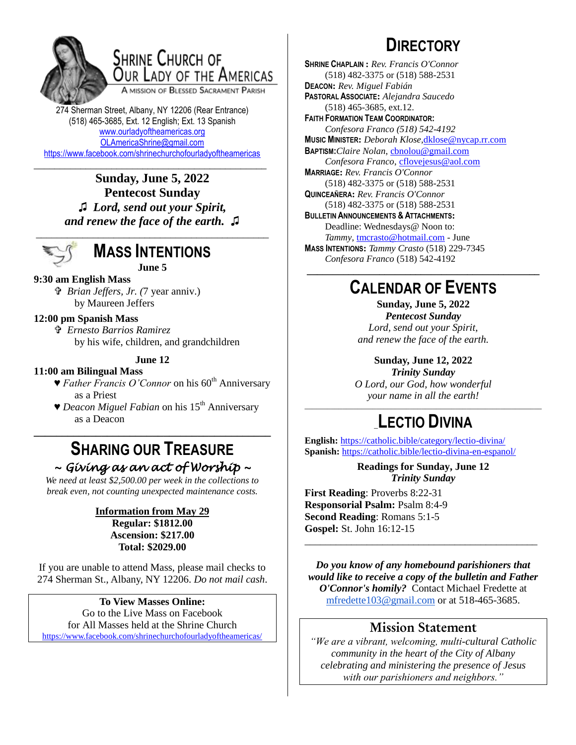

# **SHRINE CHURCH OF** OUR LADY OF THE AMERICAS

A MISSION OF BLESSED SACRAMENT PARISH

274 Sherman Street, Albany, NY 12206 (Rear Entrance) (518) 465-3685, Ext. 12 English; Ext. 13 Spanish [www.ourladyoftheamericas.org](http://www.ourladyoftheamericas.org/) [OLAmericaShrine@gmail.com](mailto:OLAmericaShrine@gmail.com) <https://www.facebook.com/shrinechurchofourladyoftheamericas>

\_\_\_\_\_\_\_\_\_\_\_\_\_\_\_\_\_\_\_\_\_\_\_\_\_\_\_\_\_\_\_\_\_\_\_\_\_\_\_\_\_\_\_\_\_ **Sunday, June 5, 2022 Pentecost Sunday ♫** *Lord, send out your Spirit, and renew the face of the earth.* **♫**



# **MASS INTENTIONS**

### **June 5**

**9:30 am English Mass**  *Brian Jeffers, Jr. (*7 year anniv.) by Maureen Jeffers

#### **12:00 pm Spanish Mass**

 *Ernesto Barrios Ramirez* by his wife, children, and grandchildren

#### **June 12**

#### **11:00 am Bilingual Mass**

- ▼ *Father Francis O'Connor* on his 60<sup>th</sup> Anniversary as a Priest
- ▼ *Deacon Miguel Fabian* on his 15<sup>th</sup> Anniversary as a Deacon

## **SHARING OUR TREASURE** *~ Giving as an act of Worship ~*

**\_\_\_\_\_\_\_\_\_\_\_\_\_\_\_\_\_\_\_\_\_\_\_\_\_\_\_\_\_\_\_\_\_\_\_\_\_\_\_\_\_\_**

*We need at least \$2,500.00 per week in the collections to break even, not counting unexpected maintenance costs.*

#### **Information from May 29 Regular: \$1812.00 Ascension: \$217.00 Total: \$2029.00**

If you are unable to attend Mass, please mail checks to 274 Sherman St., Albany, NY 12206. *Do not mail cash*.

## **To View Masses Online:**

Go to the Live Mass on Facebook for All Masses held at the Shrine Church <https://www.facebook.com/shrinechurchofourladyoftheamericas/>

# **DIRECTORY**

**SHRINE CHAPLAIN :** *Rev. Francis O'Connor* (518) 482-3375 or (518) 588-2531 **DEACON:** *Rev. Miguel Fabián* **PASTORAL ASSOCIATE:** *Alejandra Saucedo* (518) 465-3685, ext.12. **FAITH FORMATION TEAM COORDINATOR:** *Confesora Franco (518) 542-4192* **MUSIC MINISTER:** *Deborah Klose,*[dklose@nycap.rr.com](mailto:dklose@nycap.rr.com) **BAPTISM:***Claire Nolan*, [cbnolou@gmail.com](mailto:cbnolou@gmail.com) *Confesora Franco*, [cflovejesus@aol.com](mailto:cflovejesus@aol.com) **MARRIAGE:** *Rev. Francis O'Connor* (518) 482-3375 or (518) 588-2531 **QUINCEAÑERA:** *Rev. Francis O'Connor* (518) 482-3375 or (518) 588-2531 **BULLETIN ANNOUNCEMENTS & ATTACHMENTS:** Deadline: Wednesdays@ Noon to: *Tammy*, [tmcrasto@hotmail.com](mailto:tmcrasto@hotmail.com) - June **MASS INTENTIONS:** *Tammy Crasto* (518) 229-7345 *Confesora Franco* (518) 542-4192 **\_\_\_\_\_\_\_\_\_\_\_\_\_\_\_\_\_\_\_\_\_\_\_\_\_\_\_\_\_\_\_\_\_\_\_\_\_\_\_\_\_\_\_\_\_**

# **CALENDAR OF EVENTS**

**Sunday, June 5, 2022** *Pentecost Sunday Lord, send out your Spirit, and renew the face of the earth.*

**Sunday, June 12, 2022** *Trinity Sunday O Lord, our God, how wonderful your name in all the earth!*

## \_\_\_\_\_\_\_\_\_\_\_\_\_\_\_\_\_\_\_\_\_\_\_\_\_\_\_\_\_\_\_\_\_\_\_\_\_\_\_\_\_\_\_\_\_\_\_\_\_\_\_\_\_\_\_\_\_\_\_\_\_\_\_ \_**LECTIO DIVINA**

**English:** <https://catholic.bible/category/lectio-divina/> **Spanish:** <https://catholic.bible/lectio-divina-en-espanol/>

> **Readings for Sunday, June 12** *Trinity Sunday*

**First Reading**: Proverbs 8:22-31 **Responsorial Psalm:** Psalm 8:4-9 **Second Reading**: Romans 5:1-5 **Gospel:** St. John 16:12-15

*Do you know of any homebound parishioners that would like to receive a copy of the bulletin and Father O'Connor's homily?* Contact Michael Fredette at [mfredette103@gmail.com](mailto:mfredette103@gmail.com) or at 518-465-3685.

\_\_\_\_\_\_\_\_\_\_\_\_\_\_\_\_\_\_\_\_\_\_\_\_\_\_\_\_\_\_\_\_\_\_\_\_\_\_\_\_\_\_\_\_\_

## **Mission Statement**

*"We are a vibrant, welcoming, multi-cultural Catholic community in the heart of the City of Albany celebrating and ministering the presence of Jesus with our parishioners and neighbors."*